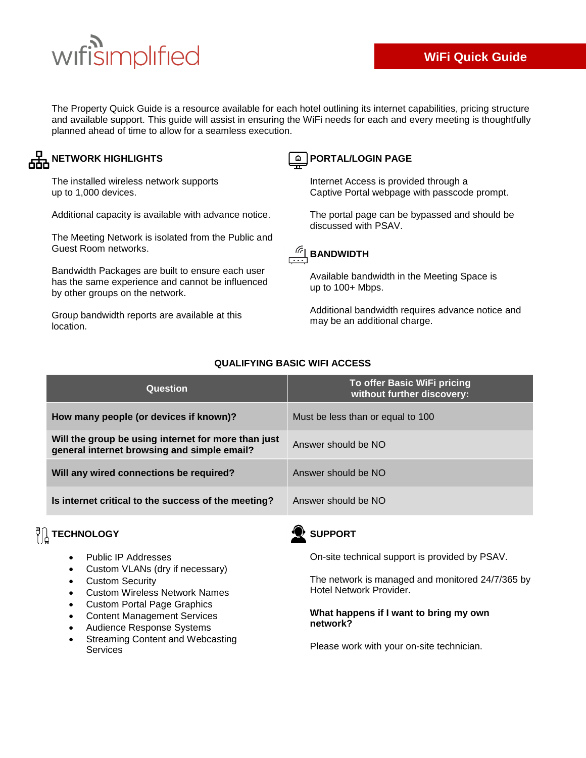# wifisimplified

The Property Quick Guide is a resource available for each hotel outlining its internet capabilities, pricing structure and available support. This guide will assist in ensuring the WiFi needs for each and every meeting is thoughtfully planned ahead of time to allow for a seamless execution.

### **AHA NETWORK HIGHLIGHTS**

The installed wireless network supports up to 1,000 devices.

Additional capacity is available with advance notice.

The Meeting Network is isolated from the Public and Guest Room networks.

Bandwidth Packages are built to ensure each user has the same experience and cannot be influenced by other groups on the network.

Group bandwidth reports are available at this location.

## **PORTAL/LOGIN PAGE**

Internet Access is provided through a Captive Portal webpage with passcode prompt.

The portal page can be bypassed and should be discussed with PSAV.



Available bandwidth in the Meeting Space is up to 100+ Mbps.

Additional bandwidth requires advance notice and may be an additional charge.

| Question                                                                                           | To offer Basic WiFi pricing<br>without further discovery: |
|----------------------------------------------------------------------------------------------------|-----------------------------------------------------------|
| How many people (or devices if known)?                                                             | Must be less than or equal to 100                         |
| Will the group be using internet for more than just<br>general internet browsing and simple email? | Answer should be NO                                       |
| Will any wired connections be required?                                                            | Answer should be NO                                       |
| Is internet critical to the success of the meeting?                                                | Answer should be NO                                       |

#### **QUALIFYING BASIC WIFI ACCESS**

## $\sqrt[{\mathbb{C}}]{\begin{bmatrix} \frac{1}{2} \\ \frac{1}{2} \end{bmatrix}}$  **TECHNOLOGY**

- Public IP Addresses
- Custom VLANs (dry if necessary)
- Custom Security
- Custom Wireless Network Names
- Custom Portal Page Graphics
- Content Management Services
- Audience Response Systems
- Streaming Content and Webcasting Services

## **SUPPORT**

On-site technical support is provided by PSAV.

The network is managed and monitored 24/7/365 by Hotel Network Provider.

#### **What happens if I want to bring my own network?**

Please work with your on-site technician.